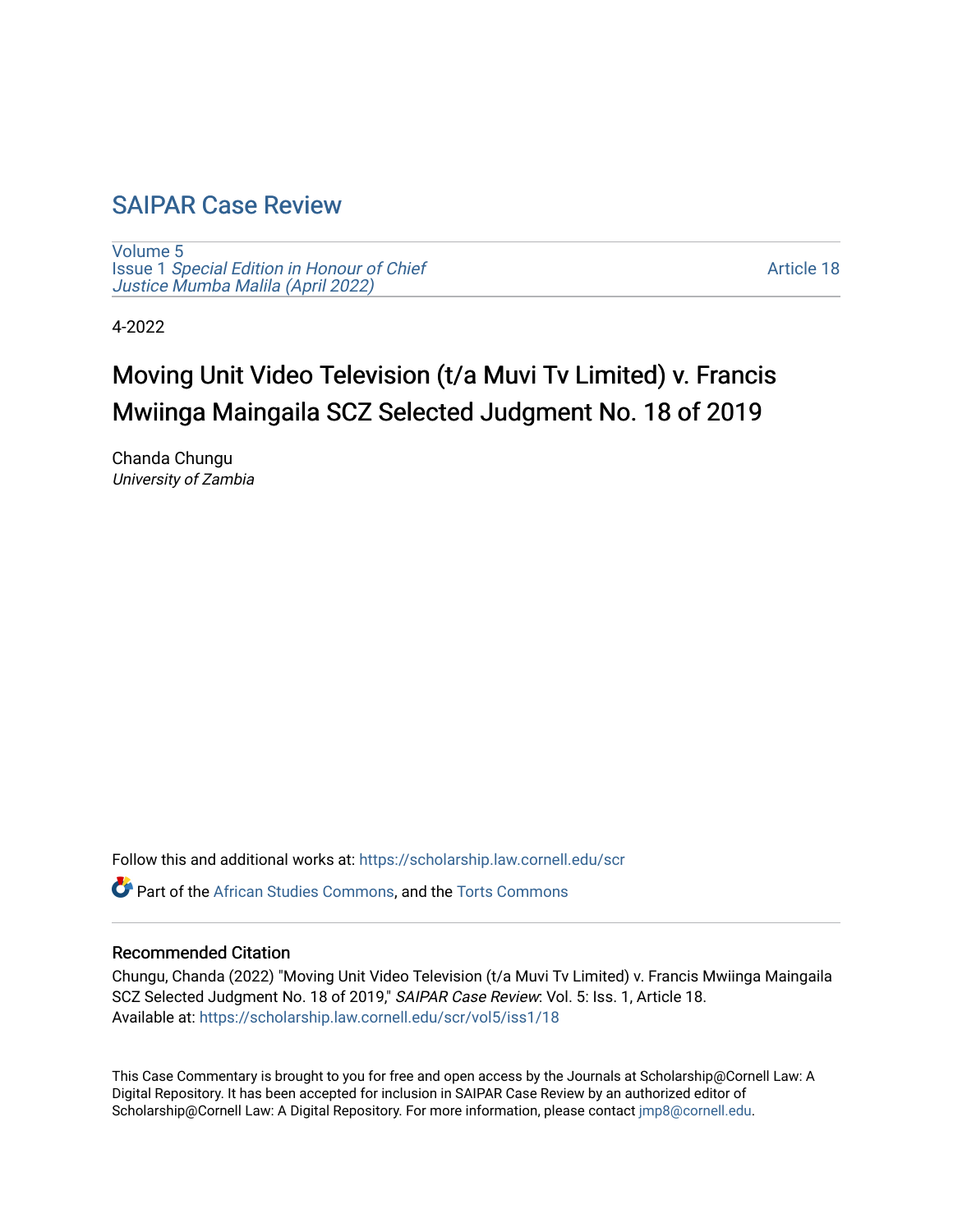## [SAIPAR Case Review](https://scholarship.law.cornell.edu/scr)

[Volume 5](https://scholarship.law.cornell.edu/scr/vol5) Issue 1 [Special Edition in Honour of Chief](https://scholarship.law.cornell.edu/scr/vol5/iss1) [Justice Mumba Malila \(April 2022\)](https://scholarship.law.cornell.edu/scr/vol5/iss1)

[Article 18](https://scholarship.law.cornell.edu/scr/vol5/iss1/18) 

4-2022

# Moving Unit Video Television (t/a Muvi Tv Limited) v. Francis Mwiinga Maingaila SCZ Selected Judgment No. 18 of 2019

Chanda Chungu University of Zambia

Follow this and additional works at: [https://scholarship.law.cornell.edu/scr](https://scholarship.law.cornell.edu/scr?utm_source=scholarship.law.cornell.edu%2Fscr%2Fvol5%2Fiss1%2F18&utm_medium=PDF&utm_campaign=PDFCoverPages) 

Part of the [African Studies Commons,](https://network.bepress.com/hgg/discipline/1043?utm_source=scholarship.law.cornell.edu%2Fscr%2Fvol5%2Fiss1%2F18&utm_medium=PDF&utm_campaign=PDFCoverPages) and the [Torts Commons](https://network.bepress.com/hgg/discipline/913?utm_source=scholarship.law.cornell.edu%2Fscr%2Fvol5%2Fiss1%2F18&utm_medium=PDF&utm_campaign=PDFCoverPages)

#### Recommended Citation

Chungu, Chanda (2022) "Moving Unit Video Television (t/a Muvi Tv Limited) v. Francis Mwiinga Maingaila SCZ Selected Judgment No. 18 of 2019," SAIPAR Case Review: Vol. 5: Iss. 1, Article 18. Available at: [https://scholarship.law.cornell.edu/scr/vol5/iss1/18](https://scholarship.law.cornell.edu/scr/vol5/iss1/18?utm_source=scholarship.law.cornell.edu%2Fscr%2Fvol5%2Fiss1%2F18&utm_medium=PDF&utm_campaign=PDFCoverPages) 

This Case Commentary is brought to you for free and open access by the Journals at Scholarship@Cornell Law: A Digital Repository. It has been accepted for inclusion in SAIPAR Case Review by an authorized editor of Scholarship@Cornell Law: A Digital Repository. For more information, please contact [jmp8@cornell.edu](mailto:jmp8@cornell.edu).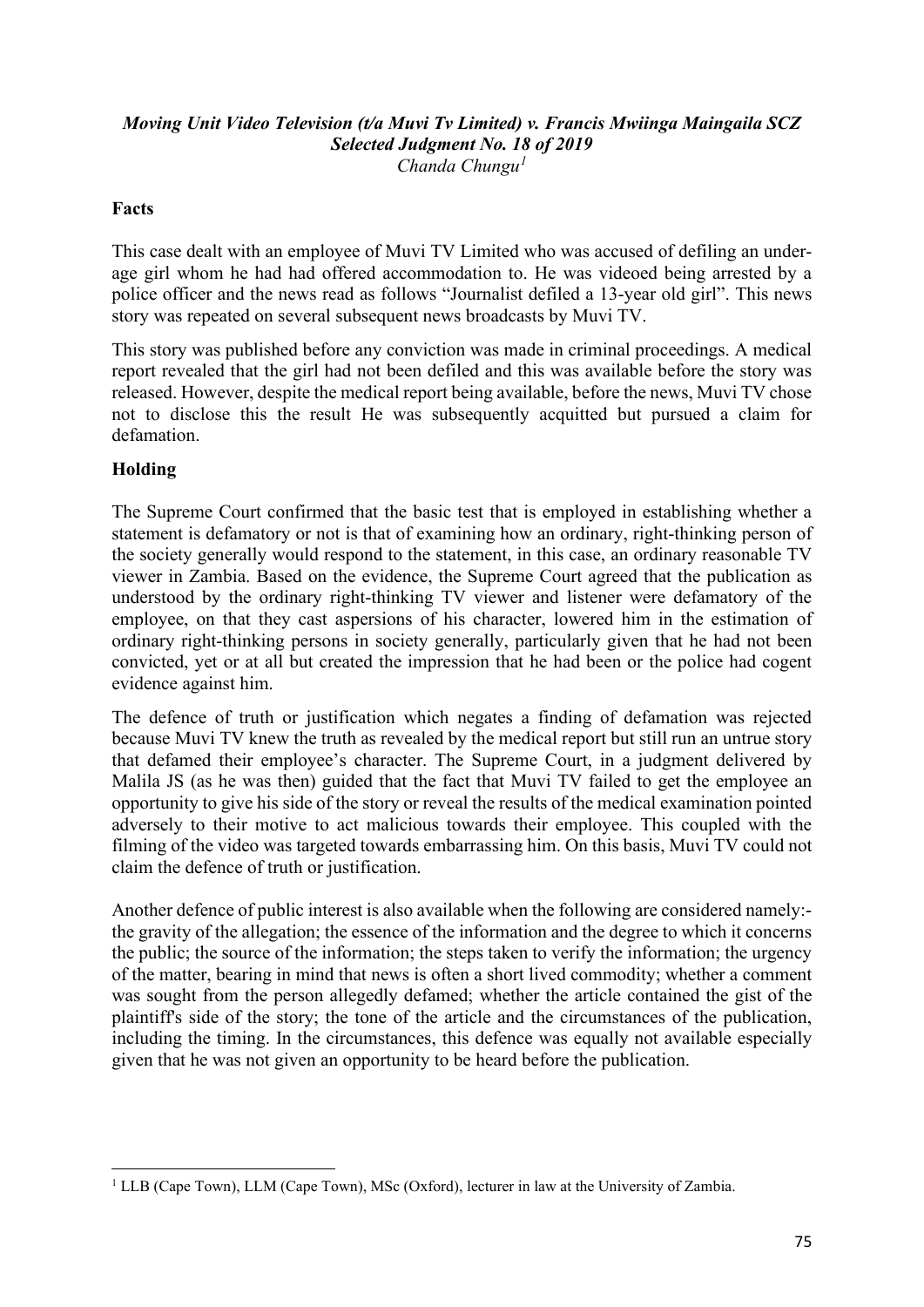#### *Moving Unit Video Television (t/a Muvi Tv Limited) v. Francis Mwiinga Maingaila SCZ Selected Judgment No. 18 of 2019 Chanda Chungu[1](#page-1-0)*

#### **Facts**

This case dealt with an employee of Muvi TV Limited who was accused of defiling an underage girl whom he had had offered accommodation to. He was videoed being arrested by a police officer and the news read as follows "Journalist defiled a 13-year old girl". This news story was repeated on several subsequent news broadcasts by Muvi TV.

This story was published before any conviction was made in criminal proceedings. A medical report revealed that the girl had not been defiled and this was available before the story was released. However, despite the medical report being available, before the news, Muvi TV chose not to disclose this the result He was subsequently acquitted but pursued a claim for defamation.

#### **Holding**

The Supreme Court confirmed that the basic test that is employed in establishing whether a statement is defamatory or not is that of examining how an ordinary, right-thinking person of the society generally would respond to the statement, in this case, an ordinary reasonable TV viewer in Zambia. Based on the evidence, the Supreme Court agreed that the publication as understood by the ordinary right-thinking TV viewer and listener were defamatory of the employee, on that they cast aspersions of his character, lowered him in the estimation of ordinary right-thinking persons in society generally, particularly given that he had not been convicted, yet or at all but created the impression that he had been or the police had cogent evidence against him.

The defence of truth or justification which negates a finding of defamation was rejected because Muvi TV knew the truth as revealed by the medical report but still run an untrue story that defamed their employee's character. The Supreme Court, in a judgment delivered by Malila JS (as he was then) guided that the fact that Muvi TV failed to get the employee an opportunity to give his side of the story or reveal the results of the medical examination pointed adversely to their motive to act malicious towards their employee. This coupled with the filming of the video was targeted towards embarrassing him. On this basis, Muvi TV could not claim the defence of truth or justification.

Another defence of public interest is also available when the following are considered namely: the gravity of the allegation; the essence of the information and the degree to which it concerns the public; the source of the information; the steps taken to verify the information; the urgency of the matter, bearing in mind that news is often a short lived commodity; whether a comment was sought from the person allegedly defamed; whether the article contained the gist of the plaintiff's side of the story; the tone of the article and the circumstances of the publication, including the timing. In the circumstances, this defence was equally not available especially given that he was not given an opportunity to be heard before the publication.

<span id="page-1-0"></span><sup>&</sup>lt;sup>1</sup> LLB (Cape Town), LLM (Cape Town), MSc (Oxford), lecturer in law at the University of Zambia.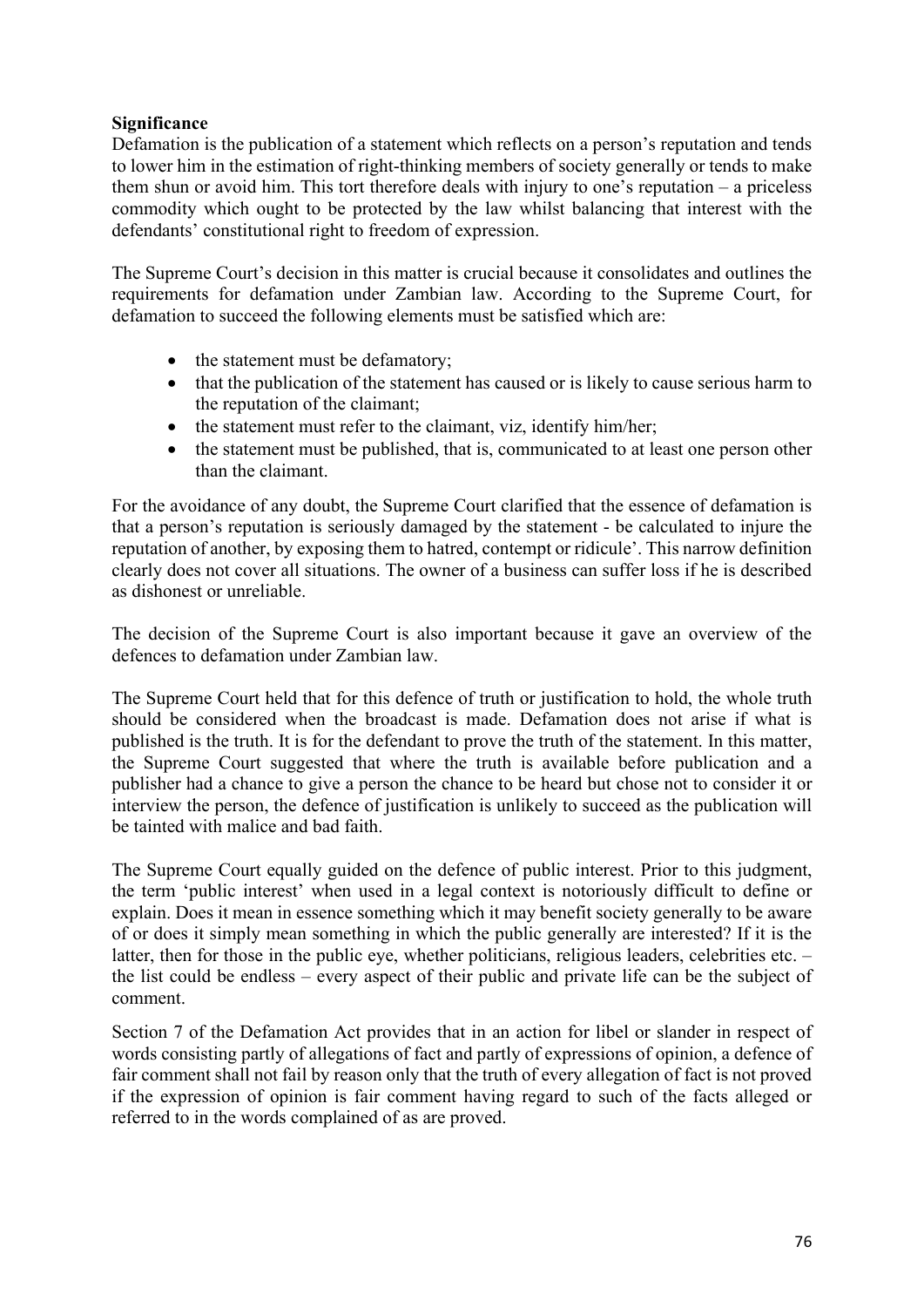#### **Significance**

Defamation is the publication of a statement which reflects on a person's reputation and tends to lower him in the estimation of right-thinking members of society generally or tends to make them shun or avoid him. This tort therefore deals with injury to one's reputation – a priceless commodity which ought to be protected by the law whilst balancing that interest with the defendants' constitutional right to freedom of expression.

The Supreme Court's decision in this matter is crucial because it consolidates and outlines the requirements for defamation under Zambian law. According to the Supreme Court, for defamation to succeed the following elements must be satisfied which are:

- the statement must be defamatory;
- that the publication of the statement has caused or is likely to cause serious harm to the reputation of the claimant;
- the statement must refer to the claimant, viz, identify him/her;
- the statement must be published, that is, communicated to at least one person other than the claimant.

For the avoidance of any doubt, the Supreme Court clarified that the essence of defamation is that a person's reputation is seriously damaged by the statement - be calculated to injure the reputation of another, by exposing them to hatred, contempt or ridicule'. This narrow definition clearly does not cover all situations. The owner of a business can suffer loss if he is described as dishonest or unreliable.

The decision of the Supreme Court is also important because it gave an overview of the defences to defamation under Zambian law.

The Supreme Court held that for this defence of truth or justification to hold, the whole truth should be considered when the broadcast is made. Defamation does not arise if what is published is the truth. It is for the defendant to prove the truth of the statement. In this matter, the Supreme Court suggested that where the truth is available before publication and a publisher had a chance to give a person the chance to be heard but chose not to consider it or interview the person, the defence of justification is unlikely to succeed as the publication will be tainted with malice and bad faith.

The Supreme Court equally guided on the defence of public interest. Prior to this judgment, the term 'public interest' when used in a legal context is notoriously difficult to define or explain. Does it mean in essence something which it may benefit society generally to be aware of or does it simply mean something in which the public generally are interested? If it is the latter, then for those in the public eye, whether politicians, religious leaders, celebrities etc. – the list could be endless – every aspect of their public and private life can be the subject of comment.

Section 7 of the Defamation Act provides that in an action for libel or slander in respect of words consisting partly of allegations of fact and partly of expressions of opinion, a defence of fair comment shall not fail by reason only that the truth of every allegation of fact is not proved if the expression of opinion is fair comment having regard to such of the facts alleged or referred to in the words complained of as are proved.